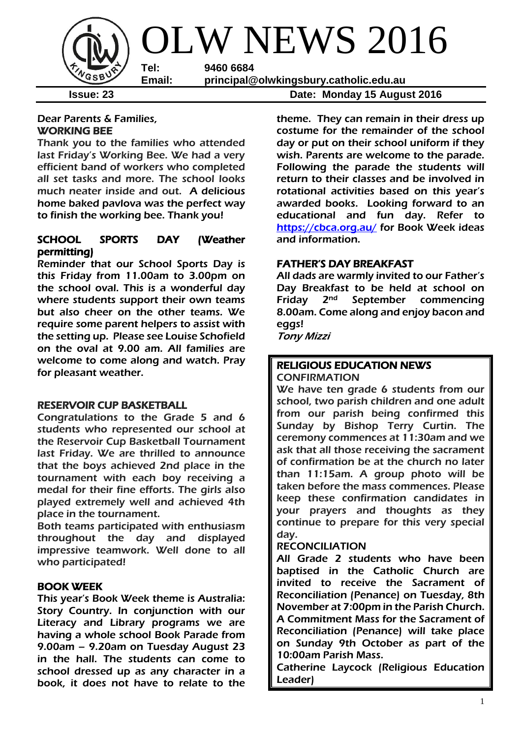

## Dear Parents & Families, WORKING BEE

Thank you to the families who attended last Friday's Working Bee. We had a very efficient band of workers who completed all set tasks and more. The school looks much neater inside and out. A delicious home baked pavlova was the perfect way to finish the working bee. Thank you!

## SCHOOL SPORTS DAY (Weather permitting)

Reminder that our School Sports Day is this Friday from 11.00am to 3.00pm on the school oval. This is a wonderful day where students support their own teams but also cheer on the other teams. We require some parent helpers to assist with the setting up. Please see Louise Schofield on the oval at 9.00 am. All families are welcome to come along and watch. Pray for pleasant weather.

## RESERVOIR CUP BASKETBALL

Congratulations to the Grade 5 and 6 students who represented our school at the Reservoir Cup Basketball Tournament last Friday. We are thrilled to announce that the boys achieved 2nd place in the tournament with each boy receiving a medal for their fine efforts. The girls also played extremely well and achieved 4th place in the tournament.

Both teams participated with enthusiasm throughout the day and displayed impressive teamwork. Well done to all who participated!

# BOOK WEEK

This year's Book Week theme is Australia: Story Country. In conjunction with our Literacy and Library programs we are having a whole school Book Parade from 9.00am – 9.20am on Tuesday August 23 in the hall. The students can come to school dressed up as any character in a book, it does not have to relate to the

**Issue: 23 Date: Monday 15 August 2016**

theme. They can remain in their dress up costume for the remainder of the school day or put on their school uniform if they wish. Parents are welcome to the parade. Following the parade the students will return to their classes and be involved in rotational activities based on this year's awarded books. Looking forward to an educational and fun day. Refer to <https://cbca.org.au/> for Book Week ideas and information.

# FATHER'S DAY BREAKFAST

All dads are warmly invited to our Father's Day Breakfast to be held at school on Friday 2nd September commencing 8.00am. Come along and enjoy bacon and eggs!

Tony Mizzi

### RELIGIOUS EDUCATION NEWS CONFIRMATION

We have ten grade 6 students from our school, two parish children and one adult from our parish being confirmed this Sunday by Bishop Terry Curtin. The ceremony commences at 11:30am and we ask that all those receiving the sacrament of confirmation be at the church no later than 11:15am. A group photo will be taken before the mass commences. Please keep these confirmation candidates in your prayers and thoughts as they continue to prepare for this very special day.

# RECONCILIATION

All Grade 2 students who have been baptised in the Catholic Church are invited to receive the Sacrament of Reconciliation (Penance) on Tuesday, 8th November at 7:00pm in the Parish Church. A Commitment Mass for the Sacrament of Reconciliation (Penance) will take place on Sunday 9th October as part of the 10:00am Parish Mass.

Catherine Laycock (Religious Education Leader)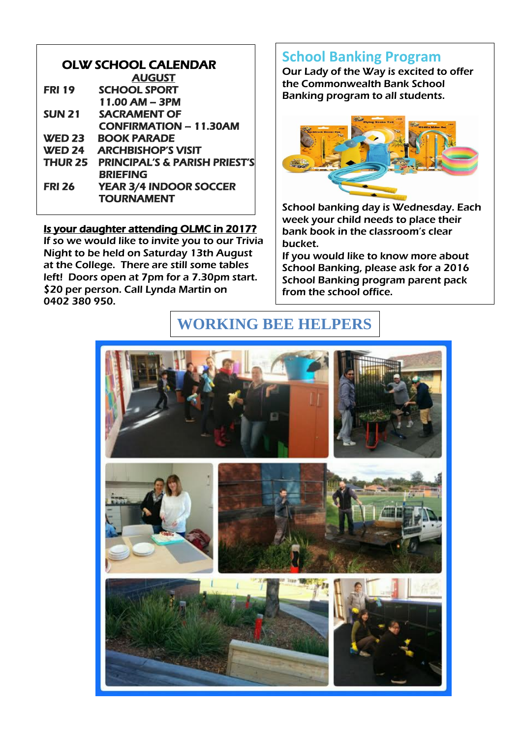| <b>OLW SCHOOL CALENDAR</b> |                                          |  |  |  |
|----------------------------|------------------------------------------|--|--|--|
|                            | <b>AUGUST</b>                            |  |  |  |
| <b>FRI 19</b>              | <b>SCHOOL SPORT</b>                      |  |  |  |
|                            | 11.00 AM - 3PM                           |  |  |  |
| <b>SUN 21</b>              | <b>SACRAMENT OF</b>                      |  |  |  |
|                            | <b>CONFIRMATION - 11.30AM</b>            |  |  |  |
| <b>WED 23</b>              | <b>BOOK PARADE</b>                       |  |  |  |
| <b>WED 24</b>              | <b>ARCHBISHOP'S VISIT</b>                |  |  |  |
| THUR 25                    | <b>PRINCIPAL'S &amp; PARISH PRIEST'S</b> |  |  |  |
|                            | <b>BRIEFING</b>                          |  |  |  |
| <b>FRI 26</b>              | <b>YEAR 3/4 INDOOR SOCCER</b>            |  |  |  |
|                            | <b>TOURNAMENT</b>                        |  |  |  |

## Is your daughter attending OLMC in 2017?

If so we would like to invite you to our Trivia Night to be held on Saturday 13th August at the College. There are still some tables left! Doors open at 7pm for a 7.30pm start. \$20 per person. Call Lynda Martin on 0402 380 950.

# **School Banking Program**

Our Lady of the Way is excited to offer the Commonwealth Bank School Banking program to all students.



School banking day is Wednesday. Each week your child needs to place their bank book in the classroom's clear bucket.

If you would like to know more about School Banking, please ask for a 2016 School Banking program parent pack from the school office.

# **WORKING BEE HELPERS**

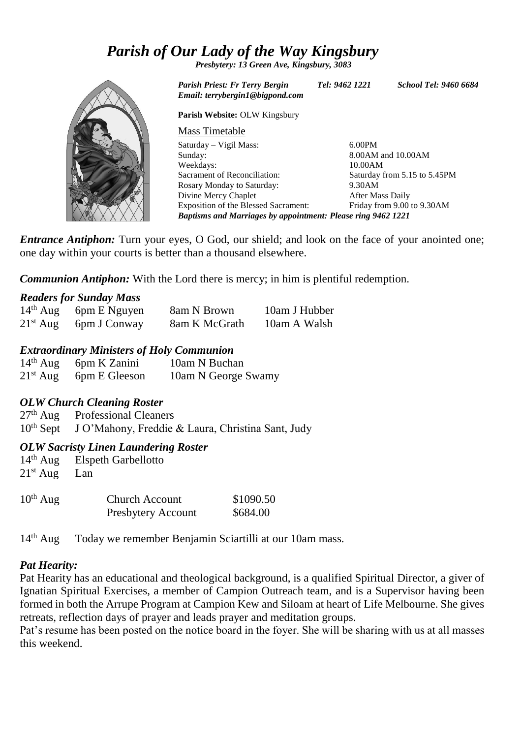# *Parish of Our Lady of the Way Kingsbury*

*Presbytery: 13 Green Ave, Kingsbury, 3083*

*Parish Priest: Fr Terry Bergin Tel: 9462 1221 School Tel: 9460 6684 Email: terrybergin1@bigpond.com*

**Parish Website:** OLW Kingsbury

| Mass Timetable                                                      |                              |  |  |  |
|---------------------------------------------------------------------|------------------------------|--|--|--|
| Saturday – Vigil Mass:                                              | $6.00$ PM                    |  |  |  |
| Sunday:                                                             | 8.00AM and 10.00AM           |  |  |  |
| Weekdays:                                                           | 10.00AM                      |  |  |  |
| Sacrament of Reconciliation:                                        | Saturday from 5.15 to 5.45PM |  |  |  |
| Rosary Monday to Saturday:                                          | 9.30AM                       |  |  |  |
| Divine Mercy Chaplet                                                | After Mass Daily             |  |  |  |
| <b>Exposition of the Blessed Sacrament:</b>                         | Friday from 9.00 to 9.30AM   |  |  |  |
| <b>Baptisms and Marriages by appointment: Please ring 9462 1221</b> |                              |  |  |  |

*Entrance Antiphon:* Turn your eyes, O God, our shield; and look on the face of your anointed one; one day within your courts is better than a thousand elsewhere.

*Communion Antiphon:* With the Lord there is mercy; in him is plentiful redemption.

#### *Readers for Sunday Mass*

| $14th$ Aug 6pm E Nguyen | 8am N Brown   | 10am J Hubber |
|-------------------------|---------------|---------------|
| $21st$ Aug 6pm J Conway | 8am K McGrath | 10am A Walsh  |

### *Extraordinary Ministers of Holy Communion*

| $14th$ Aug | 6pm K Zanini             | 10am N Buchan       |
|------------|--------------------------|---------------------|
|            | $21st$ Aug 6pm E Gleeson | 10am N George Swamy |

#### *OLW Church Cleaning Roster*

27<sup>th</sup> Aug Professional Cleaners 10th Sept J O'Mahony, Freddie & Laura, Christina Sant, Judy

## *OLW Sacristy Linen Laundering Roster*

14th Aug Elspeth Garbellotto  $21<sup>st</sup>$  Aug Lan

| $10^{th}$ Aug | <b>Church Account</b>     | \$1090.50 |
|---------------|---------------------------|-----------|
|               | <b>Presbytery Account</b> | \$684.00  |

14th Aug Today we remember Benjamin Sciartilli at our 10am mass.

## *Pat Hearity:*

Pat Hearity has an educational and theological background, is a qualified Spiritual Director, a giver of Ignatian Spiritual Exercises, a member of Campion Outreach team, and is a Supervisor having been formed in both the Arrupe Program at Campion Kew and Siloam at heart of Life Melbourne. She gives retreats, reflection days of prayer and leads prayer and meditation groups.

Pat's resume has been posted on the notice board in the foyer. She will be sharing with us at all masses this weekend.